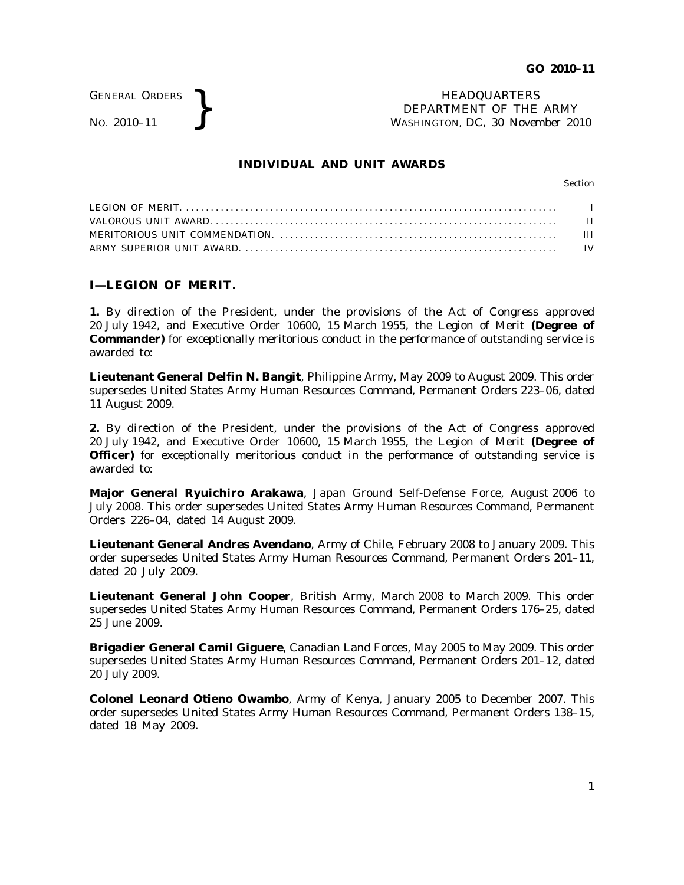GENERAL ORDERS

GENERAL ORDERS <br>No. 2010–11 <br>No. 2010–11 <br>NASHINGTON, DC, 30 Nover. DEPARTMENT OF THE ARMY WASHINGTON, DC, *30 November 2010*

## **INDIVIDUAL AND UNIT AWARDS**

Section

## **I—LEGION OF MERIT.**

**1.** By direction of the President, under the provisions of the Act of Congress approved 20 July 1942, and Executive Order 10600, 15 March 1955, the Legion of Merit **(Degree of Commander)** for exceptionally meritorious conduct in the performance of outstanding service is awarded to:

**Lieutenant General Delfin N. Bangit**, Philippine Army, May 2009 to August 2009. This order supersedes United States Army Human Resources Command, Permanent Orders 223–06, dated 11 August 2009.

**2.** By direction of the President, under the provisions of the Act of Congress approved 20 July 1942, and Executive Order 10600, 15 March 1955, the Legion of Merit **(Degree of Officer)** for exceptionally meritorious conduct in the performance of outstanding service is awarded to:

**Major General Ryuichiro Arakawa**, Japan Ground Self-Defense Force, August 2006 to July 2008. This order supersedes United States Army Human Resources Command, Permanent Orders 226–04, dated 14 August 2009.

**Lieutenant General Andres Avendano**, Army of Chile, February 2008 to January 2009. This order supersedes United States Army Human Resources Command, Permanent Orders 201–11, dated 20 July 2009.

**Lieutenant General John Cooper**, British Army, March 2008 to March 2009. This order supersedes United States Army Human Resources Command, Permanent Orders 176–25, dated 25 June 2009.

**Brigadier General Camil Giguere**, Canadian Land Forces, May 2005 to May 2009. This order supersedes United States Army Human Resources Command, Permanent Orders 201–12, dated 20 July 2009.

**Colonel Leonard Otieno Owambo**, Army of Kenya, January 2005 to December 2007. This order supersedes United States Army Human Resources Command, Permanent Orders 138–15, dated 18 May 2009.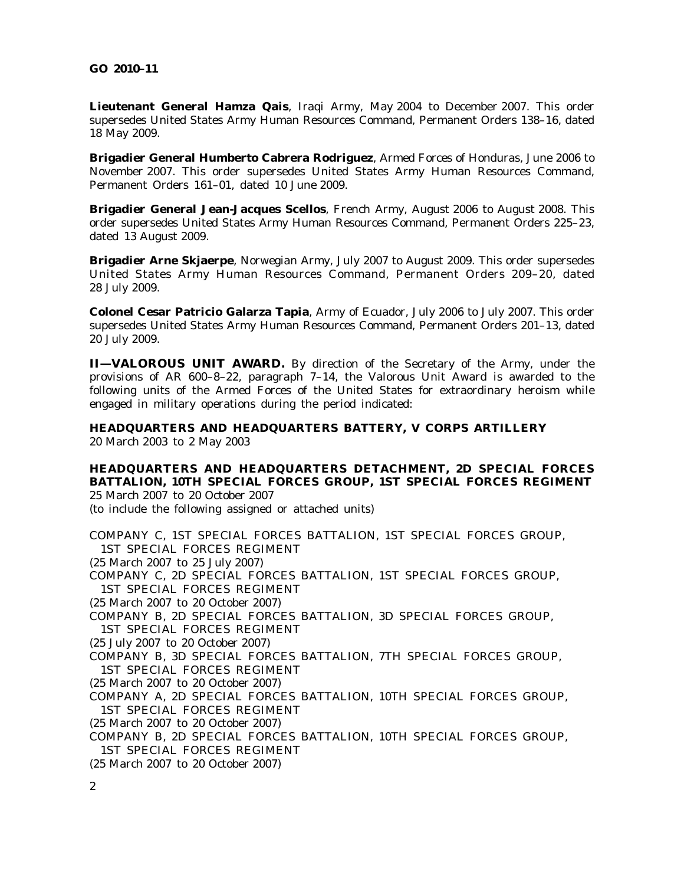### **GO 2010–11**

**Lieutenant General Hamza Qais**, Iraqi Army, May 2004 to December 2007. This order supersedes United States Army Human Resources Command, Permanent Orders 138–16, dated 18 May 2009.

**Brigadier General Humberto Cabrera Rodriguez**, Armed Forces of Honduras, June 2006 to November 2007. This order supersedes United States Army Human Resources Command, Permanent Orders 161–01, dated 10 June 2009.

**Brigadier General Jean-Jacques Scellos**, French Army, August 2006 to August 2008. This order supersedes United States Army Human Resources Command, Permanent Orders 225–23, dated 13 August 2009.

**Brigadier Arne Skjaerpe**, Norwegian Army, July 2007 to August 2009. This order supersedes United States Army Human Resources Command, Permanent Orders 209-20, dated 28 July 2009.

**Colonel Cesar Patricio Galarza Tapia**, Army of Ecuador, July 2006 to July 2007. This order supersedes United States Army Human Resources Command, Permanent Orders 201–13, dated 20 July 2009.

**II—VALOROUS UNIT AWARD.** By direction of the Secretary of the Army, under the provisions of AR  $600-8-22$ , paragraph  $7-14$ , the Valorous Unit Award is awarded to the following units of the Armed Forces of the United States for extraordinary heroism while engaged in military operations during the period indicated:

**HEADQUARTERS AND HEADQUARTERS BATTERY, V CORPS ARTILLERY** 20 March 2003 to 2 May 2003

**HEADOUARTERS AND HEADOUARTERS DETACHMENT. 2D SPECIAL FORCES BATTALION, 10TH SPECIAL FORCES GROUP, 1ST SPECIAL FORCES REGIMENT** 25 March 2007 to 20 October 2007

(to include the following assigned or attached units)

COMPANY C, 1ST SPECIAL FORCES BATTALION, 1ST SPECIAL FORCES GROUP, 1ST SPECIAL FORCES REGIMENT (25 March 2007 to 25 July 2007) COMPANY C, 2D SPECIAL FORCES BATTALION, 1ST SPECIAL FORCES GROUP, 1ST SPECIAL FORCES REGIMENT (25 March 2007 to 20 October 2007) COMPANY B, 2D SPECIAL FORCES BATTALION, 3D SPECIAL FORCES GROUP, 1ST SPECIAL FORCES REGIMENT (25 July 2007 to 20 October 2007) COMPANY B, 3D SPECIAL FORCES BATTALION, 7TH SPECIAL FORCES GROUP, 1ST SPECIAL FORCES REGIMENT (25 March 2007 to 20 October 2007) COMPANY A, 2D SPECIAL FORCES BATTALION, 10TH SPECIAL FORCES GROUP, 1ST SPECIAL FORCES REGIMENT (25 March 2007 to 20 October 2007) COMPANY B, 2D SPECIAL FORCES BATTALION, 10TH SPECIAL FORCES GROUP, 1ST SPECIAL FORCES REGIMENT (25 March 2007 to 20 October 2007) 2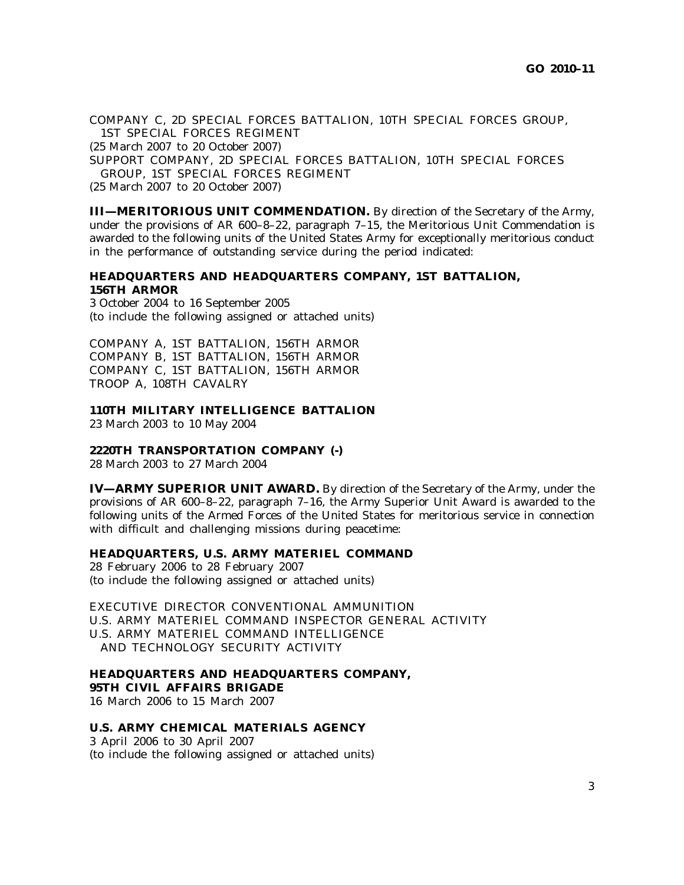COMPANY C, 2D SPECIAL FORCES BATTALION, 10TH SPECIAL FORCES GROUP, 1ST SPECIAL FORCES REGIMENT

(25 March 2007 to 20 October 2007)

SUPPORT COMPANY, 2D SPECIAL FORCES BATTALION, 10TH SPECIAL FORCES

GROUP, 1ST SPECIAL FORCES REGIMENT

(25 March 2007 to 20 October 2007)

**III—MERITORIOUS UNIT COMMENDATION.** By direction of the Secretary of the Army, under the provisions of AR 600–8–22, paragraph 7–15, the Meritorious Unit Commendation is awarded to the following units of the United States Army for exceptionally meritorious conduct in the performance of outstanding service during the period indicated:

# **HEADQUARTERS AND HEADQUARTERS COMPANY, 1ST BATTALION, 156TH ARMOR**

3 October 2004 to 16 September 2005 (to include the following assigned or attached units)

COMPANY A, 1ST BATTALION, 156TH ARMOR COMPANY B, 1ST BATTALION, 156TH ARMOR COMPANY C, 1ST BATTALION, 156TH ARMOR TROOP A, 108TH CAVALRY

## **110TH MILITARY INTELLIGENCE BATTALION**

23 March 2003 to 10 May 2004

## **2220TH TRANSPORTATION COMPANY (-)**

28 March 2003 to 27 March 2004

**IV—ARMY SUPERIOR UNIT AWARD.** By direction of the Secretary of the Army, under the provisions of AR 600–8–22, paragraph 7–16, the Army Superior Unit Award is awarded to the following units of the Armed Forces of the United States for meritorious service in connection with difficult and challenging missions during peacetime:

# **HEADQUARTERS, U.S. ARMY MATERIEL COMMAND**

28 February 2006 to 28 February 2007 (to include the following assigned or attached units)

EXECUTIVE DIRECTOR CONVENTIONAL AMMUNITION U.S. ARMY MATERIEL COMMAND INSPECTOR GENERAL ACTIVITY U.S. ARMY MATERIEL COMMAND INTELLIGENCE AND TECHNOLOGY SECURITY ACTIVITY

#### **HEADQUARTERS AND HEADQUARTERS COMPANY, 95TH CIVIL AFFAIRS BRIGADE**

16 March 2006 to 15 March 2007

## **U.S. ARMY CHEMICAL MATERIALS AGENCY**

3 April 2006 to 30 April 2007 (to include the following assigned or attached units)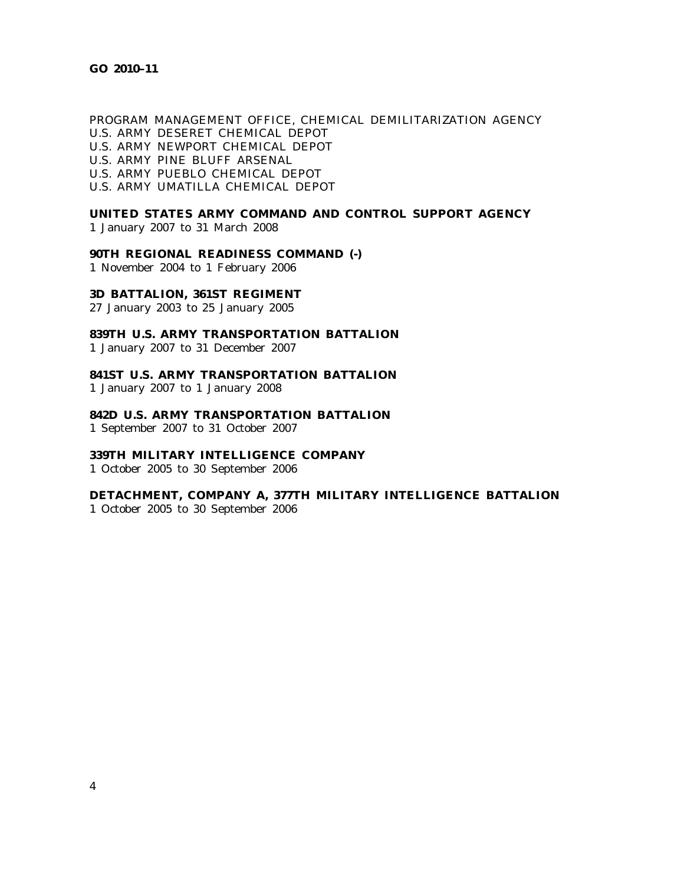# PROGRAM MANAGEMENT OFFICE, CHEMICAL DEMILITARIZATION AGENCY U.S. ARMY DESERET CHEMICAL DEPOT U.S. ARMY NEWPORT CHEMICAL DEPOT U.S. ARMY PINE BLUFF ARSENAL U.S. ARMY PUEBLO CHEMICAL DEPOT

U.S. ARMY UMATILLA CHEMICAL DEPOT

# **UNITED STATES ARMY COMMAND AND CONTROL SUPPORT AGENCY**

1 January 2007 to 31 March 2008

### **90TH REGIONAL READINESS COMMAND (-)**

1 November 2004 to 1 February 2006

## **3D BATTALION, 361ST REGIMENT**

27 January 2003 to 25 January 2005

# **839TH U.S. ARMY TRANSPORTATION BATTALION**

1 January 2007 to 31 December 2007

# **841ST U.S. ARMY TRANSPORTATION BATTALION**

1 January 2007 to 1 January 2008

## **842D U.S. ARMY TRANSPORTATION BATTALION**

1 September 2007 to 31 October 2007

# **339TH MILITARY INTELLIGENCE COMPANY**

1 October 2005 to 30 September 2006

## **DETACHMENT, COMPANY A, 377TH MILITARY INTELLIGENCE BATTALION**

1 October 2005 to 30 September 2006